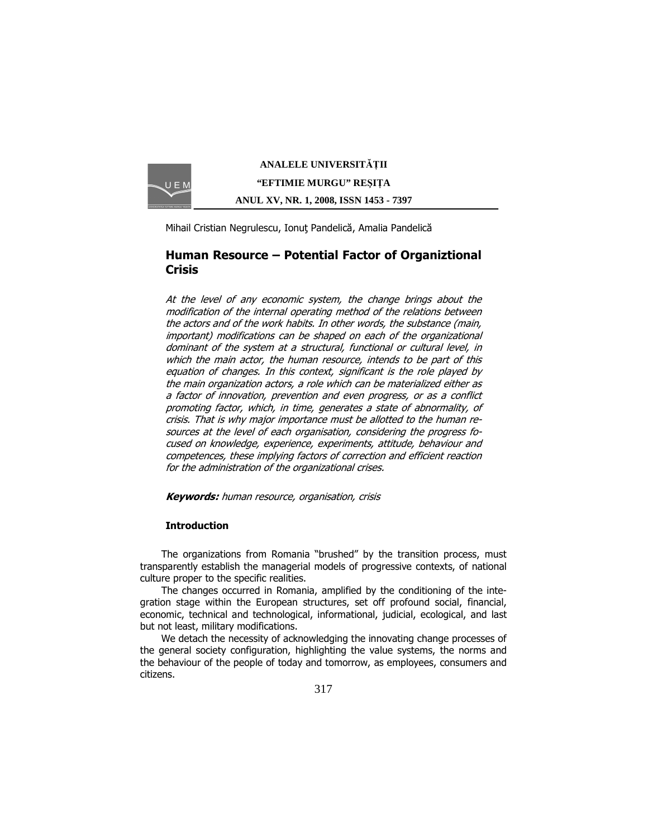

**ANALELE UNIVERSIT**Ăł**II "EFTIMIE MURGU" RE**Ş**I**ł**A ANUL XV, NR. 1, 2008, ISSN 1453 - 7397** 

Mihail Cristian Negrulescu, Ionuț Pandelică, Amalia Pandelică

# Human Resource – Potential Factor of Organiztional **Crisis**

At the level of any economic system, the change brings about the modification of the internal operating method of the relations between the actors and of the work habits. In other words, the substance (main, important) modifications can be shaped on each of the organizational dominant of the system at a structural, functional or cultural level, in which the main actor, the human resource, intends to be part of this equation of changes. In this context, significant is the role played by the main organization actors, a role which can be materialized either as a factor of innovation, prevention and even progress, or as a conflict promoting factor, which, in time, generates a state of abnormality, of crisis. That is why major importance must be allotted to the human resources at the level of each organisation, considering the progress focused on knowledge, experience, experiments, attitude, behaviour and competences, these implying factors of correction and efficient reaction for the administration of the organizational crises.

**Keywords:** human resource, organisation, crisis

# Introduction

The organizations from Romania "brushed" by the transition process, must transparently establish the managerial models of progressive contexts, of national culture proper to the specific realities.

The changes occurred in Romania, amplified by the conditioning of the integration stage within the European structures, set off profound social, financial, economic, technical and technological, informational, judicial, ecological, and last but not least, military modifications.

We detach the necessity of acknowledging the innovating change processes of the general society configuration, highlighting the value systems, the norms and the behaviour of the people of today and tomorrow, as employees, consumers and citizens.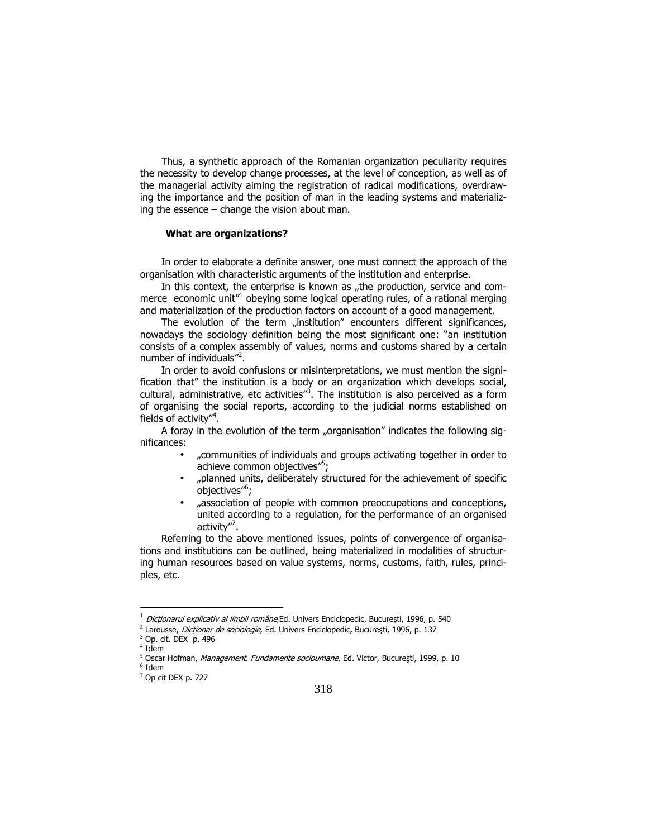Thus, a synthetic approach of the Romanian organization peculiarity requires the necessity to develop change processes, at the level of conception, as well as of the managerial activity aiming the registration of radical modifications, overdrawing the importance and the position of man in the leading systems and materializing the essence – change the vision about man.

#### What are organizations?

In order to elaborate a definite answer, one must connect the approach of the organisation with characteristic arguments of the institution and enterprise.

In this context, the enterprise is known as "the production, service and commerce economic unit<sup>1</sup> obeying some logical operating rules, of a rational merging and materialization of the production factors on account of a good management.

The evolution of the term "institution" encounters different significances, nowadays the sociology definition being the most significant one: "an institution consists of a complex assembly of values, norms and customs shared by a certain number of individuals"<sup>2</sup>.

In order to avoid confusions or misinterpretations, we must mention the signification that" the institution is a body or an organization which develops social, cultural, administrative, etc activities"<sup>3</sup>. The institution is also perceived as a form of organising the social reports, according to the judicial norms established on fields of activity"<sup>4</sup>.

A foray in the evolution of the term "organisation" indicates the following significances:

- "communities of individuals and groups activating together in order to achieve common objectives"<sup>5</sup>;
- "planned units, deliberately structured for the achievement of specific objectives"<sup>6</sup> ;
- "association of people with common preoccupations and conceptions, united according to a regulation, for the performance of an organised activity''<sup>7</sup>.

Referring to the above mentioned issues, points of convergence of organisations and institutions can be outlined, being materialized in modalities of structuring human resources based on value systems, norms, customs, faith, rules, principles, etc.

 $\overline{a}$ 

 $^{\rm 1}$  *Dicționarul explicativ al limbii române*, Ed. Univers Enciclopedic, București, 1996, p. 540

<sup>&</sup>lt;sup>2</sup> Larousse, *Dicționar de sociologie*, Ed. Univers Enciclopedic, București, 1996, p. 137

<sup>3</sup> Op. cit. DEX p. 496

<sup>4</sup> Idem

<sup>&</sup>lt;sup>5</sup> Oscar Hofman, *Management. Fundamente socioumane*, Ed. Victor, Bucureşti, 1999, p. 10  $^6$  Idem

<sup>7</sup> Op cit DEX p. 727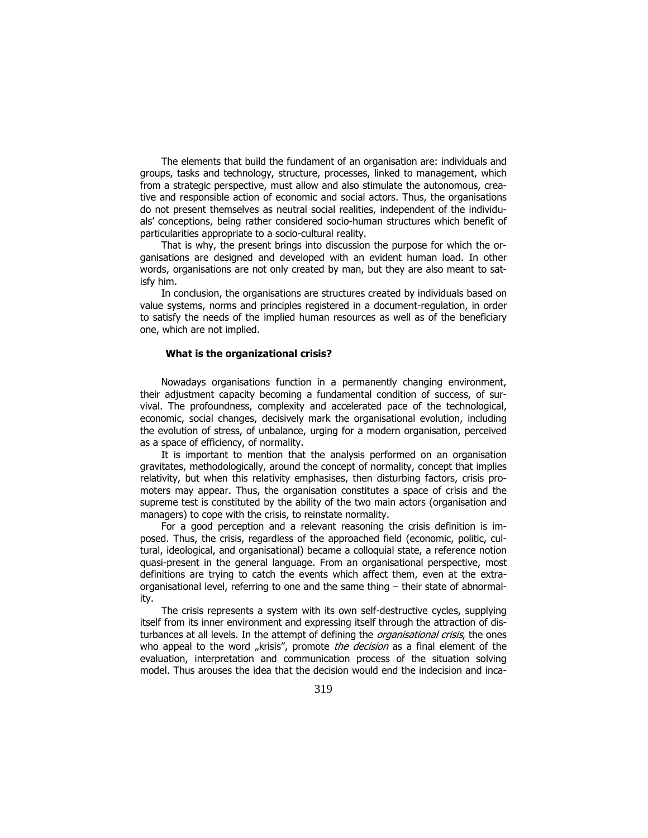The elements that build the fundament of an organisation are: individuals and groups, tasks and technology, structure, processes, linked to management, which from a strategic perspective, must allow and also stimulate the autonomous, creative and responsible action of economic and social actors. Thus, the organisations do not present themselves as neutral social realities, independent of the individuals' conceptions, being rather considered socio-human structures which benefit of particularities appropriate to a socio-cultural reality.

That is why, the present brings into discussion the purpose for which the organisations are designed and developed with an evident human load. In other words, organisations are not only created by man, but they are also meant to satisfy him.

In conclusion, the organisations are structures created by individuals based on value systems, norms and principles registered in a document-regulation, in order to satisfy the needs of the implied human resources as well as of the beneficiary one, which are not implied.

### What is the organizational crisis?

Nowadays organisations function in a permanently changing environment, their adjustment capacity becoming a fundamental condition of success, of survival. The profoundness, complexity and accelerated pace of the technological, economic, social changes, decisively mark the organisational evolution, including the evolution of stress, of unbalance, urging for a modern organisation, perceived as a space of efficiency, of normality.

It is important to mention that the analysis performed on an organisation gravitates, methodologically, around the concept of normality, concept that implies relativity, but when this relativity emphasises, then disturbing factors, crisis promoters may appear. Thus, the organisation constitutes a space of crisis and the supreme test is constituted by the ability of the two main actors (organisation and managers) to cope with the crisis, to reinstate normality.

For a good perception and a relevant reasoning the crisis definition is imposed. Thus, the crisis, regardless of the approached field (economic, politic, cultural, ideological, and organisational) became a colloquial state, a reference notion quasi-present in the general language. From an organisational perspective, most definitions are trying to catch the events which affect them, even at the extraorganisational level, referring to one and the same thing – their state of abnormality.

The crisis represents a system with its own self-destructive cycles, supplying itself from its inner environment and expressing itself through the attraction of disturbances at all levels. In the attempt of defining the *organisational crisis*, the ones who appeal to the word "krisis", promote the decision as a final element of the evaluation, interpretation and communication process of the situation solving model. Thus arouses the idea that the decision would end the indecision and inca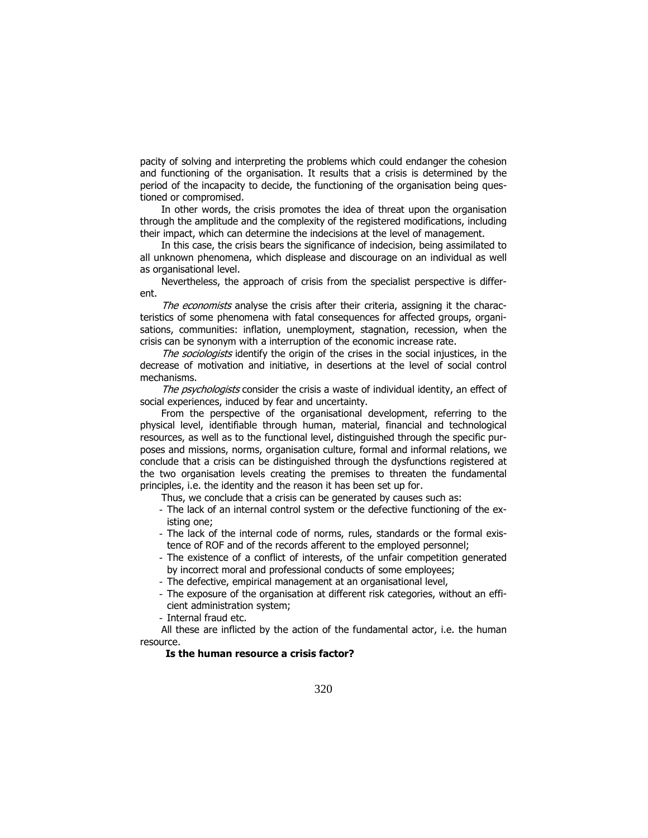pacity of solving and interpreting the problems which could endanger the cohesion and functioning of the organisation. It results that a crisis is determined by the period of the incapacity to decide, the functioning of the organisation being questioned or compromised.

In other words, the crisis promotes the idea of threat upon the organisation through the amplitude and the complexity of the registered modifications, including their impact, which can determine the indecisions at the level of management.

In this case, the crisis bears the significance of indecision, being assimilated to all unknown phenomena, which displease and discourage on an individual as well as organisational level.

Nevertheless, the approach of crisis from the specialist perspective is different.

The economists analyse the crisis after their criteria, assigning it the characteristics of some phenomena with fatal consequences for affected groups, organisations, communities: inflation, unemployment, stagnation, recession, when the crisis can be synonym with a interruption of the economic increase rate.

The sociologists identify the origin of the crises in the social injustices, in the decrease of motivation and initiative, in desertions at the level of social control mechanisms.

The psychologists consider the crisis a waste of individual identity, an effect of social experiences, induced by fear and uncertainty.

From the perspective of the organisational development, referring to the physical level, identifiable through human, material, financial and technological resources, as well as to the functional level, distinguished through the specific purposes and missions, norms, organisation culture, formal and informal relations, we conclude that a crisis can be distinguished through the dysfunctions registered at the two organisation levels creating the premises to threaten the fundamental principles, i.e. the identity and the reason it has been set up for.

Thus, we conclude that a crisis can be generated by causes such as:

- The lack of an internal control system or the defective functioning of the existing one;
- The lack of the internal code of norms, rules, standards or the formal existence of ROF and of the records afferent to the employed personnel;
- The existence of a conflict of interests, of the unfair competition generated by incorrect moral and professional conducts of some employees;
- The defective, empirical management at an organisational level,
- The exposure of the organisation at different risk categories, without an efficient administration system;

- Internal fraud etc.

All these are inflicted by the action of the fundamental actor, i.e. the human resource.

## Is the human resource a crisis factor?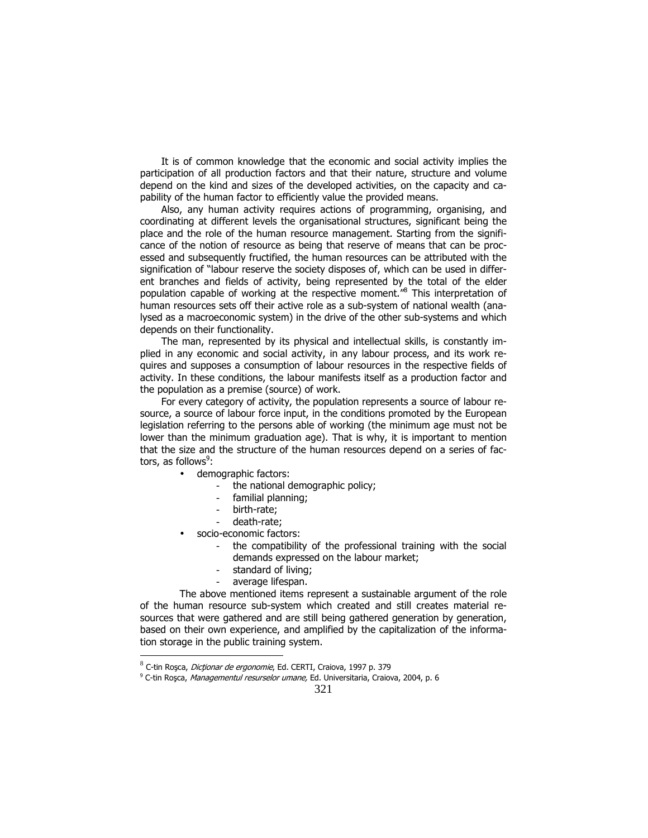It is of common knowledge that the economic and social activity implies the participation of all production factors and that their nature, structure and volume depend on the kind and sizes of the developed activities, on the capacity and capability of the human factor to efficiently value the provided means.

Also, any human activity requires actions of programming, organising, and coordinating at different levels the organisational structures, significant being the place and the role of the human resource management. Starting from the significance of the notion of resource as being that reserve of means that can be processed and subsequently fructified, the human resources can be attributed with the signification of "labour reserve the society disposes of, which can be used in different branches and fields of activity, being represented by the total of the elder population capable of working at the respective moment."<sup>8</sup> This interpretation of human resources sets off their active role as a sub-system of national wealth (analysed as a macroeconomic system) in the drive of the other sub-systems and which depends on their functionality.

The man, represented by its physical and intellectual skills, is constantly implied in any economic and social activity, in any labour process, and its work requires and supposes a consumption of labour resources in the respective fields of activity. In these conditions, the labour manifests itself as a production factor and the population as a premise (source) of work.

For every category of activity, the population represents a source of labour resource, a source of labour force input, in the conditions promoted by the European legislation referring to the persons able of working (the minimum age must not be lower than the minimum graduation age). That is why, it is important to mention that the size and the structure of the human resources depend on a series of factors, as follows<sup>9</sup>:

- demographic factors:
	- the national demographic policy;
		- familial planning;
		- birth-rate;
		- death-rate;
- socio-economic factors:

 $\overline{a}$ 

- the compatibility of the professional training with the social demands expressed on the labour market;
- standard of living;
- average lifespan.

 The above mentioned items represent a sustainable argument of the role of the human resource sub-system which created and still creates material resources that were gathered and are still being gathered generation by generation, based on their own experience, and amplified by the capitalization of the information storage in the public training system.

<sup>&</sup>lt;sup>8</sup> C-tin Roşca, *Dicţionar de ergonomie*, Ed. CERTI, Craiova, 1997 p. 379

<sup>&</sup>lt;sup>9</sup> C-tin Roşca, *Managementul resurselor umane,* Ed. Universitaria, Craiova, 2004, p. 6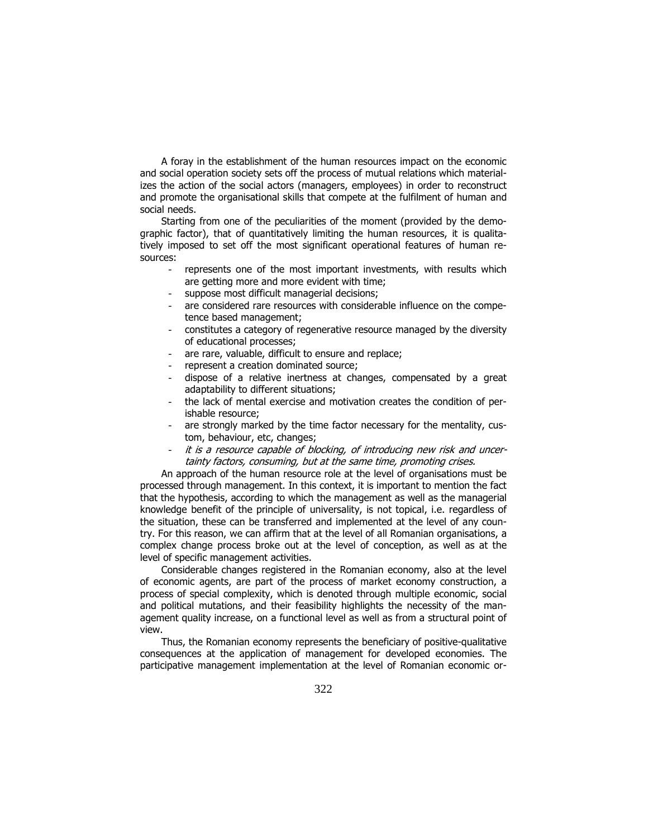A foray in the establishment of the human resources impact on the economic and social operation society sets off the process of mutual relations which materializes the action of the social actors (managers, employees) in order to reconstruct and promote the organisational skills that compete at the fulfilment of human and social needs.

Starting from one of the peculiarities of the moment (provided by the demographic factor), that of quantitatively limiting the human resources, it is qualitatively imposed to set off the most significant operational features of human resources:

- represents one of the most important investments, with results which are getting more and more evident with time;
- suppose most difficult managerial decisions;
- are considered rare resources with considerable influence on the competence based management;
- constitutes a category of regenerative resource managed by the diversity of educational processes;
- are rare, valuable, difficult to ensure and replace;
- represent a creation dominated source;
- dispose of a relative inertness at changes, compensated by a great adaptability to different situations;
- the lack of mental exercise and motivation creates the condition of perishable resource;
- are strongly marked by the time factor necessary for the mentality, custom, behaviour, etc, changes;
- it is a resource capable of blocking, of introducing new risk and uncertainty factors, consuming, but at the same time, promoting crises.

An approach of the human resource role at the level of organisations must be processed through management. In this context, it is important to mention the fact that the hypothesis, according to which the management as well as the managerial knowledge benefit of the principle of universality, is not topical, i.e. regardless of the situation, these can be transferred and implemented at the level of any country. For this reason, we can affirm that at the level of all Romanian organisations, a complex change process broke out at the level of conception, as well as at the level of specific management activities.

Considerable changes registered in the Romanian economy, also at the level of economic agents, are part of the process of market economy construction, a process of special complexity, which is denoted through multiple economic, social and political mutations, and their feasibility highlights the necessity of the management quality increase, on a functional level as well as from a structural point of view.

Thus, the Romanian economy represents the beneficiary of positive-qualitative consequences at the application of management for developed economies. The participative management implementation at the level of Romanian economic or-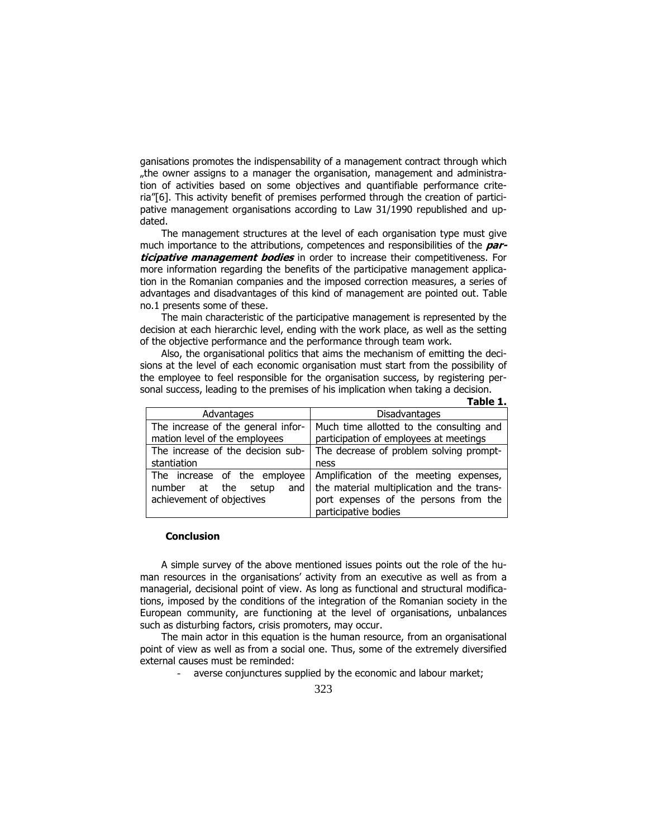ganisations promotes the indispensability of a management contract through which "the owner assigns to a manager the organisation, management and administration of activities based on some objectives and quantifiable performance criteria"[6]. This activity benefit of premises performed through the creation of participative management organisations according to Law 31/1990 republished and updated.

The management structures at the level of each organisation type must give much importance to the attributions, competences and responsibilities of the *par*ticipative management bodies in order to increase their competitiveness. For more information regarding the benefits of the participative management application in the Romanian companies and the imposed correction measures, a series of advantages and disadvantages of this kind of management are pointed out. Table no.1 presents some of these.

The main characteristic of the participative management is represented by the decision at each hierarchic level, ending with the work place, as well as the setting of the objective performance and the performance through team work.

Also, the organisational politics that aims the mechanism of emitting the decisions at the level of each economic organisation must start from the possibility of the employee to feel responsible for the organisation success, by registering personal success, leading to the premises of his implication when taking a decision. Table 1.

| Advantages                          | <b>Disadvantages</b>                       |
|-------------------------------------|--------------------------------------------|
| The increase of the general infor-  | Much time allotted to the consulting and   |
| mation level of the employees       | participation of employees at meetings     |
| The increase of the decision sub-   | The decrease of problem solving prompt-    |
| stantiation                         | ness                                       |
| The increase of the employee        | Amplification of the meeting expenses,     |
| number<br>setup<br>the<br>at<br>and | the material multiplication and the trans- |
| achievement of objectives           | port expenses of the persons from the      |
|                                     | participative bodies                       |

#### Conclusion

A simple survey of the above mentioned issues points out the role of the human resources in the organisations' activity from an executive as well as from a managerial, decisional point of view. As long as functional and structural modifications, imposed by the conditions of the integration of the Romanian society in the European community, are functioning at the level of organisations, unbalances such as disturbing factors, crisis promoters, may occur.

The main actor in this equation is the human resource, from an organisational point of view as well as from a social one. Thus, some of the extremely diversified external causes must be reminded:

- averse conjunctures supplied by the economic and labour market;